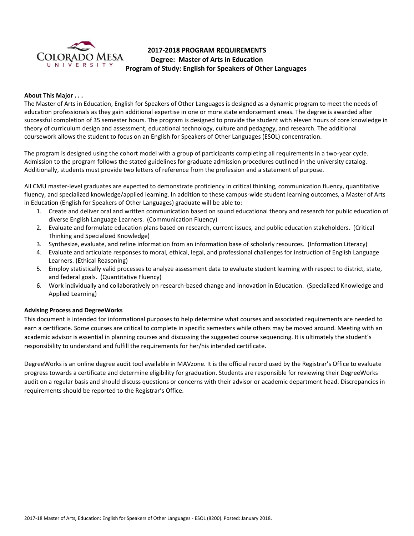

# **2017-2018 PROGRAM REQUIREMENTS Degree: Master of Arts in Education Program of Study: English for Speakers of Other Languages**

#### **About This Major . . .**

The Master of Arts in Education, English for Speakers of Other Languages is designed as a dynamic program to meet the needs of education professionals as they gain additional expertise in one or more state endorsement areas. The degree is awarded after successful completion of 35 semester hours. The program is designed to provide the student with eleven hours of core knowledge in theory of curriculum design and assessment, educational technology, culture and pedagogy, and research. The additional coursework allows the student to focus on an English for Speakers of Other Languages (ESOL) concentration.

The program is designed using the cohort model with a group of participants completing all requirements in a two-year cycle. Admission to the program follows the stated guidelines for graduate admission procedures outlined in the university catalog. Additionally, students must provide two letters of reference from the profession and a statement of purpose.

All CMU master-level graduates are expected to demonstrate proficiency in critical thinking, communication fluency, quantitative fluency, and specialized knowledge/applied learning. In addition to these campus-wide student learning outcomes, a Master of Arts in Education (English for Speakers of Other Languages) graduate will be able to:

- 1. Create and deliver oral and written communication based on sound educational theory and research for public education of diverse English Language Learners. (Communication Fluency)
- 2. Evaluate and formulate education plans based on research, current issues, and public education stakeholders. (Critical Thinking and Specialized Knowledge)
- 3. Synthesize, evaluate, and refine information from an information base of scholarly resources. (Information Literacy)
- 4. Evaluate and articulate responses to moral, ethical, legal, and professional challenges for instruction of English Language Learners. (Ethical Reasoning)
- 5. Employ statistically valid processes to analyze assessment data to evaluate student learning with respect to district, state, and federal goals. (Quantitative Fluency)
- 6. Work individually and collaboratively on research-based change and innovation in Education. (Specialized Knowledge and Applied Learning)

#### **Advising Process and DegreeWorks**

This document is intended for informational purposes to help determine what courses and associated requirements are needed to earn a certificate. Some courses are critical to complete in specific semesters while others may be moved around. Meeting with an academic advisor is essential in planning courses and discussing the suggested course sequencing. It is ultimately the student's responsibility to understand and fulfill the requirements for her/his intended certificate.

DegreeWorks is an online degree audit tool available in MAVzone. It is the official record used by the Registrar's Office to evaluate progress towards a certificate and determine eligibility for graduation. Students are responsible for reviewing their DegreeWorks audit on a regular basis and should discuss questions or concerns with their advisor or academic department head. Discrepancies in requirements should be reported to the Registrar's Office.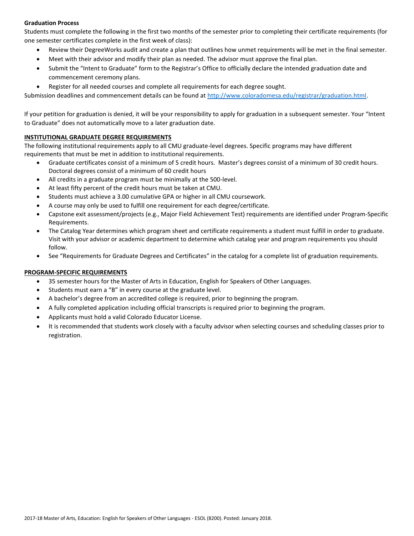# **Graduation Process**

Students must complete the following in the first two months of the semester prior to completing their certificate requirements (for one semester certificates complete in the first week of class):

- Review their DegreeWorks audit and create a plan that outlines how unmet requirements will be met in the final semester.
- Meet with their advisor and modify their plan as needed. The advisor must approve the final plan.
- Submit the "Intent to Graduate" form to the Registrar's Office to officially declare the intended graduation date and commencement ceremony plans.
- Register for all needed courses and complete all requirements for each degree sought.

Submission deadlines and commencement details can be found at [http://www.coloradomesa.edu/registrar/graduation.html.](http://www.coloradomesa.edu/registrar/graduation.html)

If your petition for graduation is denied, it will be your responsibility to apply for graduation in a subsequent semester. Your "Intent to Graduate" does not automatically move to a later graduation date.

#### **INSTITUTIONAL GRADUATE DEGREE REQUIREMENTS**

The following institutional requirements apply to all CMU graduate-level degrees. Specific programs may have different requirements that must be met in addition to institutional requirements.

- Graduate certificates consist of a minimum of 5 credit hours. Master's degrees consist of a minimum of 30 credit hours. Doctoral degrees consist of a minimum of 60 credit hours
- All credits in a graduate program must be minimally at the 500-level.
- At least fifty percent of the credit hours must be taken at CMU.
- Students must achieve a 3.00 cumulative GPA or higher in all CMU coursework.
- A course may only be used to fulfill one requirement for each degree/certificate.
- Capstone exit assessment/projects (e.g., Major Field Achievement Test) requirements are identified under Program-Specific Requirements.
- The Catalog Year determines which program sheet and certificate requirements a student must fulfill in order to graduate. Visit with your advisor or academic department to determine which catalog year and program requirements you should follow.
- See "Requirements for Graduate Degrees and Certificates" in the catalog for a complete list of graduation requirements.

# **PROGRAM-SPECIFIC REQUIREMENTS**

- 35 semester hours for the Master of Arts in Education, English for Speakers of Other Languages.
- Students must earn a "B" in every course at the graduate level.
- A bachelor's degree from an accredited college is required, prior to beginning the program.
- A fully completed application including official transcripts is required prior to beginning the program.
- Applicants must hold a valid Colorado Educator License.
- It is recommended that students work closely with a faculty advisor when selecting courses and scheduling classes prior to registration.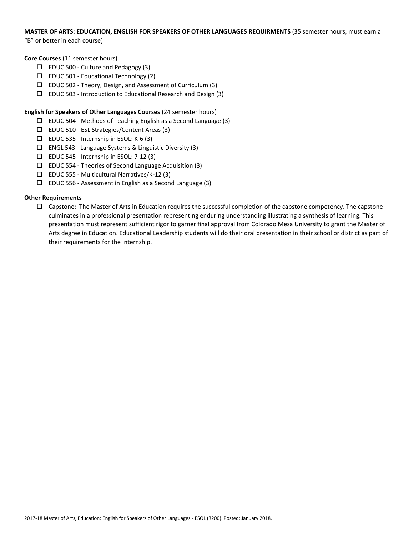# **MASTER OF ARTS: EDUCATION, ENGLISH FOR SPEAKERS OF OTHER LANGUAGES REQUIRMENTS** (35 semester hours, must earn a

"B" or better in each course)

#### **Core Courses** (11 semester hours)

- $\square$  EDUC 500 Culture and Pedagogy (3)
- $\square$  EDUC 501 Educational Technology (2)
- EDUC 502 Theory, Design, and Assessment of Curriculum (3)
- $\Box$  EDUC 503 Introduction to Educational Research and Design (3)

# **English for Speakers of Other Languages Courses** (24 semester hours)

- $\Box$  EDUC 504 Methods of Teaching English as a Second Language (3)
- EDUC 510 ESL Strategies/Content Areas (3)
- $\Box$  EDUC 535 Internship in ESOL: K-6 (3)
- $\square$  ENGL 543 Language Systems & Linguistic Diversity (3)
- $\square$  EDUC 545 Internship in ESOL: 7-12 (3)
- $\square$  EDUC 554 Theories of Second Language Acquisition (3)
- EDUC 555 Multicultural Narratives/K-12 (3)
- $\square$  EDUC 556 Assessment in English as a Second Language (3)

# **Other Requirements**

 $\Box$  Capstone: The Master of Arts in Education requires the successful completion of the capstone competency. The capstone culminates in a professional presentation representing enduring understanding illustrating a synthesis of learning. This presentation must represent sufficient rigor to garner final approval from Colorado Mesa University to grant the Master of Arts degree in Education. Educational Leadership students will do their oral presentation in their school or district as part of their requirements for the Internship.